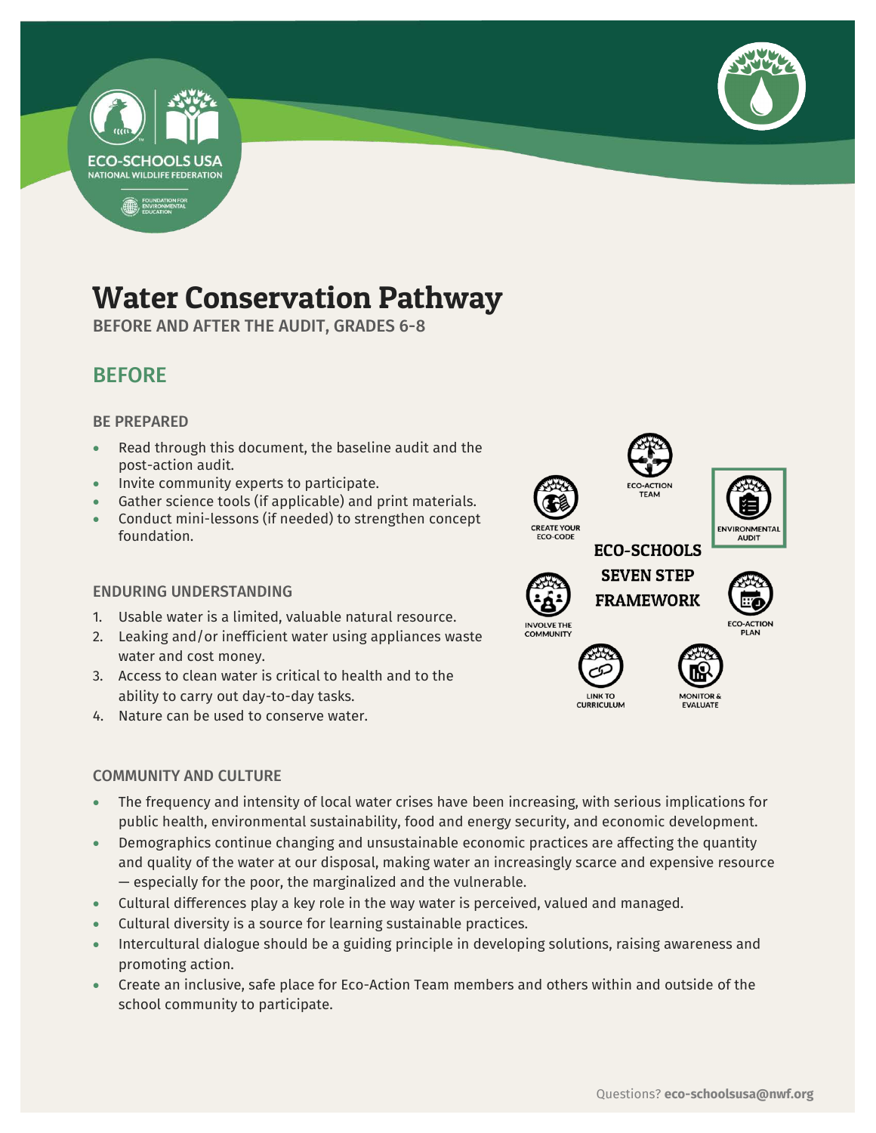



## Water Conservation Pathway

BEFORE AND AFTER THE AUDIT, GRADES 6-8

## BEFORE

#### BE PREPARED

- Read through this document, the baseline audit and the post-action audit.
- Invite community experts to participate.
- Gather science tools (if applicable) and print materials.
- Conduct mini-lessons (if needed) to strengthen concept foundation.

#### ENDURING UNDERSTANDING

- 1. Usable water is a limited, valuable natural resource.
- 2. Leaking and/or inefficient water using appliances waste water and cost money.
- 3. Access to clean water is critical to health and to the ability to carry out day-to-day tasks.
- 4. Nature can be used to conserve water.

#### COMMUNITY AND CULTURE

- **AUDIT ECO-SCHOOLS SEVEN STEP FRAMEWORK INVOLVE THE** 
	- **LINK TO CURRICULUM**



- The frequency and intensity of local water crises have been increasing, with serious implications for public health, environmental sustainability, food and energy security, and economic development.
- Demographics continue changing and unsustainable economic practices are affecting the quantity and quality of the water at our disposal, making water an increasingly scarce and expensive resource — especially for the poor, the marginalized and the vulnerable.
- Cultural differences play a key role in the way water is perceived, valued and managed.
- Cultural diversity is a source for learning sustainable practices.
- Intercultural dialogue should be a guiding principle in developing solutions, raising awareness and promoting action.
- Create an inclusive, safe place for Eco-Action Team members and others within and outside of the school community to participate.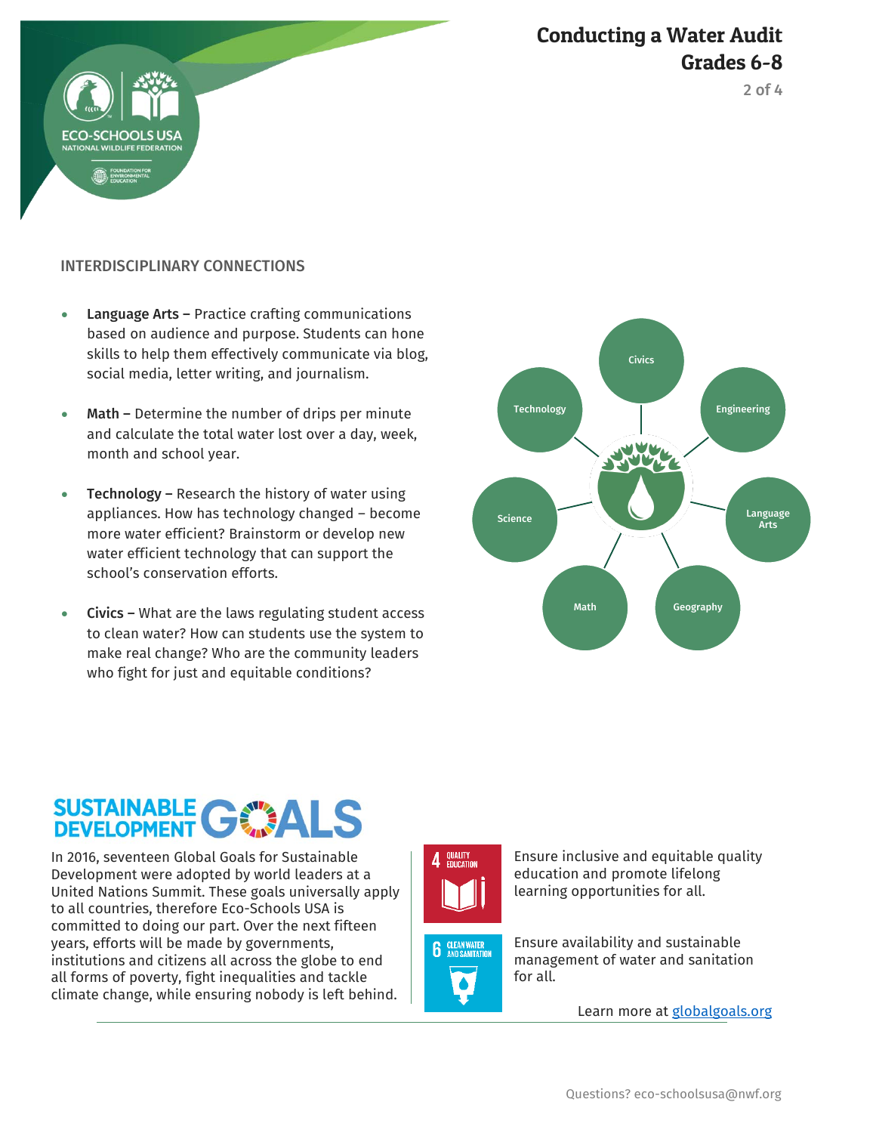



#### INTERDISCIPLINARY CONNECTIONS

**RIOOL** 

- Language Arts Practice crafting communications based on audience and purpose. Students can hone skills to help them effectively communicate via blog, social media, letter writing, and journalism.
- Math Determine the number of drips per minute and calculate the total water lost over a day, week, month and school year.
- Technology Research the history of water using appliances. How has technology changed – become more water efficient? Brainstorm or develop new water efficient technology that can support the school's conservation efforts.
- Civics What are the laws regulating student access to clean water? How can students use the system to make real change? Who are the community leaders who fight for just and equitable conditions?



# SUSTAINABLE GWALS

In 2016, seventeen Global Goals for Sustainable Development were adopted by world leaders at a United Nations Summit. These goals universally apply to all countries, therefore Eco-Schools USA is committed to doing our part. Over the next fifteen years, efforts will be made by governments, institutions and citizens all across the globe to end all forms of poverty, fight inequalities and tackle climate change, while ensuring nobody is left behind.







Ensure inclusive and equitable quality education and promote lifelong learning opportunities for all.

Ensure availability and sustainable management of water and sanitation for all.

Learn more at [globalgoals.org](https://www.globalgoals.org/)

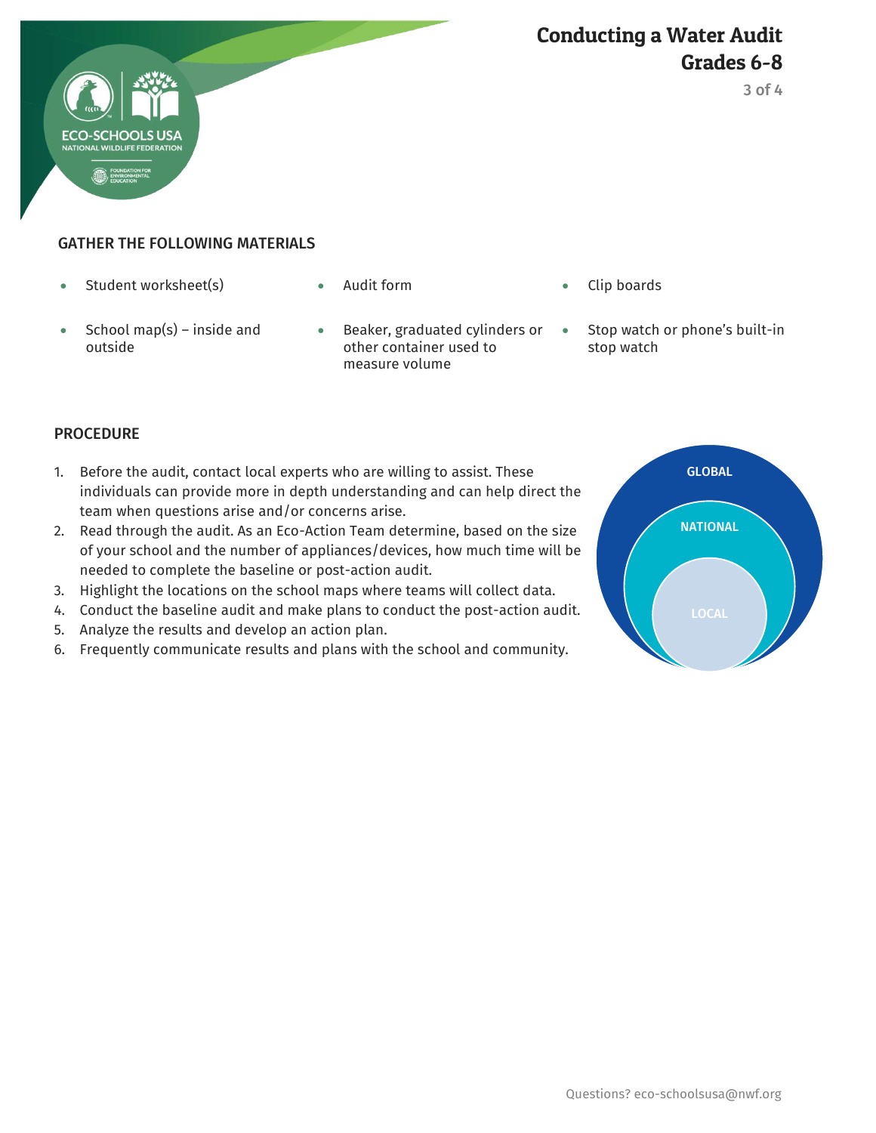



#### GATHER THE FOLLOWING MATERIALS

• Student worksheet(s) Audit form Clip boards

**ECO-SCHOOLS** 

- 
- School map(s) inside and outside
- **Beaker, graduated cylinders or** other container used to measure volume
- - Stop watch or phone's built-in stop watch

#### PROCEDURE

- 1. Before the audit, contact local experts who are willing to assist. These individuals can provide more in depth understanding and can help direct the team when questions arise and/or concerns arise.
- 2. Read through the audit. As an Eco-Action Team determine, based on the size of your school and the number of appliances/devices, how much time will be needed to complete the baseline or post-action audit.
- 3. Highlight the locations on the school maps where teams will collect data.
- 4. Conduct the baseline audit and make plans to conduct the post-action audit.
- 5. Analyze the results and develop an action plan.
- 6. Frequently communicate results and plans with the school and community.